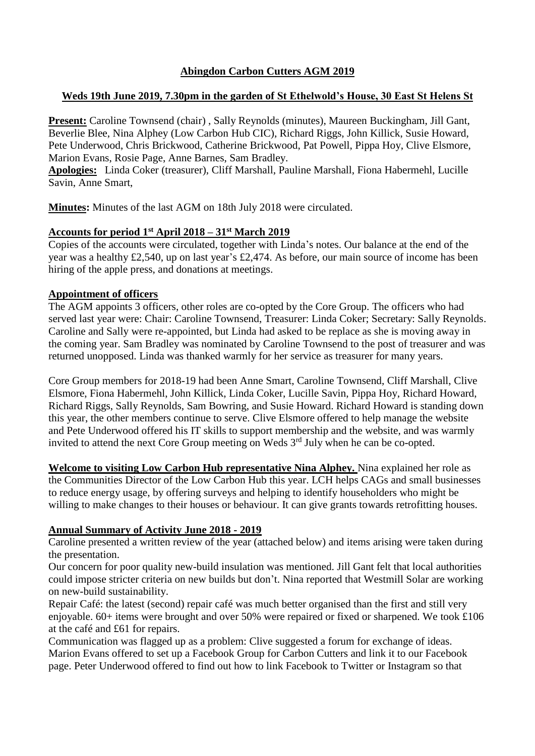# **Abingdon Carbon Cutters AGM 2019**

# **Weds 19th June 2019, 7.30pm in the garden of St Ethelwold's House, 30 East St Helens St**

**Present:** Caroline Townsend (chair) , Sally Reynolds (minutes), Maureen Buckingham, Jill Gant, Beverlie Blee, Nina Alphey (Low Carbon Hub CIC), Richard Riggs, John Killick, Susie Howard, Pete Underwood, Chris Brickwood, Catherine Brickwood, Pat Powell, Pippa Hoy, Clive Elsmore, Marion Evans, Rosie Page, Anne Barnes, Sam Bradley.

**Apologies:** Linda Coker (treasurer), Cliff Marshall, Pauline Marshall, Fiona Habermehl, Lucille Savin, Anne Smart,

**Minutes:** Minutes of the last AGM on 18th July 2018 were circulated.

# **Accounts for period 1st April 2018 – 31st March 2019**

Copies of the accounts were circulated, together with Linda's notes. Our balance at the end of the year was a healthy £2,540, up on last year's £2,474. As before, our main source of income has been hiring of the apple press, and donations at meetings.

# **Appointment of officers**

The AGM appoints 3 officers, other roles are co-opted by the Core Group. The officers who had served last year were: Chair: Caroline Townsend, Treasurer: Linda Coker; Secretary: Sally Reynolds. Caroline and Sally were re-appointed, but Linda had asked to be replace as she is moving away in the coming year. Sam Bradley was nominated by Caroline Townsend to the post of treasurer and was returned unopposed. Linda was thanked warmly for her service as treasurer for many years.

Core Group members for 2018-19 had been Anne Smart, Caroline Townsend, Cliff Marshall, Clive Elsmore, Fiona Habermehl, John Killick, Linda Coker, Lucille Savin, Pippa Hoy, Richard Howard, Richard Riggs, Sally Reynolds, Sam Bowring, and Susie Howard. Richard Howard is standing down this year, the other members continue to serve. Clive Elsmore offered to help manage the website and Pete Underwood offered his IT skills to support membership and the website, and was warmly invited to attend the next Core Group meeting on Weds  $3<sup>rd</sup>$  July when he can be co-opted.

**Welcome to visiting Low Carbon Hub representative Nina Alphey.** Nina explained her role as the Communities Director of the Low Carbon Hub this year. LCH helps CAGs and small businesses to reduce energy usage, by offering surveys and helping to identify householders who might be willing to make changes to their houses or behaviour. It can give grants towards retrofitting houses.

# **Annual Summary of Activity June 2018 - 2019**

Caroline presented a written review of the year (attached below) and items arising were taken during the presentation.

Our concern for poor quality new-build insulation was mentioned. Jill Gant felt that local authorities could impose stricter criteria on new builds but don't. Nina reported that Westmill Solar are working on new-build sustainability.

Repair Café: the latest (second) repair café was much better organised than the first and still very enjoyable. 60+ items were brought and over 50% were repaired or fixed or sharpened. We took £106 at the café and £61 for repairs.

Communication was flagged up as a problem: Clive suggested a forum for exchange of ideas. Marion Evans offered to set up a Facebook Group for Carbon Cutters and link it to our Facebook page. Peter Underwood offered to find out how to link Facebook to Twitter or Instagram so that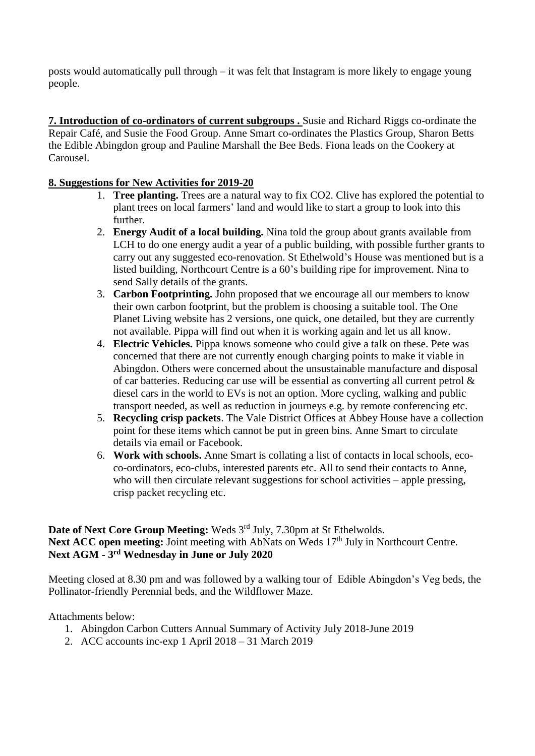posts would automatically pull through – it was felt that Instagram is more likely to engage young people.

**7. Introduction of co-ordinators of current subgroups .** Susie and Richard Riggs co-ordinate the Repair Café, and Susie the Food Group. Anne Smart co-ordinates the Plastics Group, Sharon Betts the Edible Abingdon group and Pauline Marshall the Bee Beds. Fiona leads on the Cookery at Carousel.

# **8. Suggestions for New Activities for 2019-20**

- 1. **Tree planting.** Trees are a natural way to fix CO2. Clive has explored the potential to plant trees on local farmers' land and would like to start a group to look into this further.
- 2. **Energy Audit of a local building.** Nina told the group about grants available from LCH to do one energy audit a year of a public building, with possible further grants to carry out any suggested eco-renovation. St Ethelwold's House was mentioned but is a listed building, Northcourt Centre is a 60's building ripe for improvement. Nina to send Sally details of the grants.
- 3. **Carbon Footprinting.** John proposed that we encourage all our members to know their own carbon footprint, but the problem is choosing a suitable tool. The One Planet Living website has 2 versions, one quick, one detailed, but they are currently not available. Pippa will find out when it is working again and let us all know.
- 4. **Electric Vehicles.** Pippa knows someone who could give a talk on these. Pete was concerned that there are not currently enough charging points to make it viable in Abingdon. Others were concerned about the unsustainable manufacture and disposal of car batteries. Reducing car use will be essential as converting all current petrol  $\&$ diesel cars in the world to EVs is not an option. More cycling, walking and public transport needed, as well as reduction in journeys e.g. by remote conferencing etc.
- 5. **Recycling crisp packets**. The Vale District Offices at Abbey House have a collection point for these items which cannot be put in green bins. Anne Smart to circulate details via email or Facebook.
- 6. **Work with schools.** Anne Smart is collating a list of contacts in local schools, ecoco-ordinators, eco-clubs, interested parents etc. All to send their contacts to Anne, who will then circulate relevant suggestions for school activities – apple pressing, crisp packet recycling etc.

Date of Next Core Group Meeting: Weds 3<sup>rd</sup> July, 7.30pm at St Ethelwolds. Next ACC open meeting: Joint meeting with AbNats on Weds 17<sup>th</sup> July in Northcourt Centre. **Next AGM - 3 rd Wednesday in June or July 2020**

Meeting closed at 8.30 pm and was followed by a walking tour of Edible Abingdon's Veg beds, the Pollinator-friendly Perennial beds, and the Wildflower Maze.

# Attachments below:

- 1. Abingdon Carbon Cutters Annual Summary of Activity July 2018-June 2019
- 2. ACC accounts inc-exp 1 April 2018 31 March 2019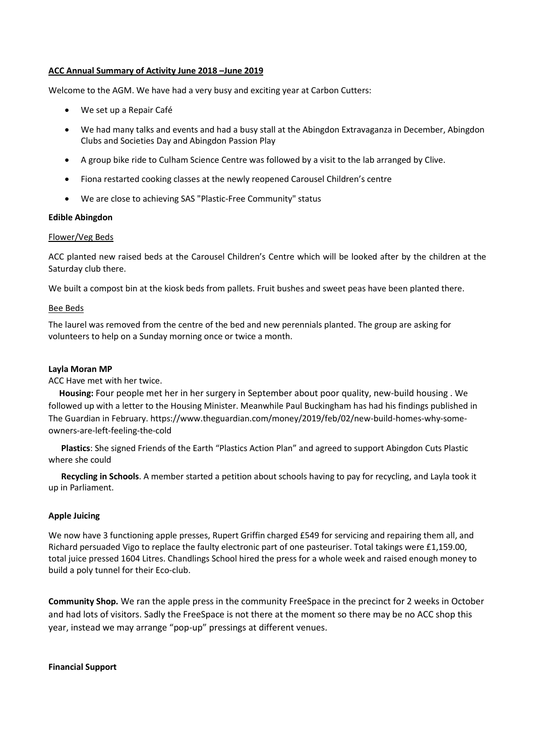#### **ACC Annual Summary of Activity June 2018 –June 2019**

Welcome to the AGM. We have had a very busy and exciting year at Carbon Cutters:

- We set up a Repair Café
- We had many talks and events and had a busy stall at the Abingdon Extravaganza in December, Abingdon Clubs and Societies Day and Abingdon Passion Play
- A group bike ride to Culham Science Centre was followed by a visit to the lab arranged by Clive.
- Fiona restarted cooking classes at the newly reopened Carousel Children's centre
- We are close to achieving SAS "Plastic-Free Community" status

#### **Edible Abingdon**

#### Flower/Veg Beds

ACC planted new raised beds at the Carousel Children's Centre which will be looked after by the children at the Saturday club there.

We built a compost bin at the kiosk beds from pallets. Fruit bushes and sweet peas have been planted there.

#### Bee Beds

The laurel was removed from the centre of the bed and new perennials planted. The group are asking for volunteers to help on a Sunday morning once or twice a month.

#### **Layla Moran MP**

ACC Have met with her twice.

 **Housing:** Four people met her in her surgery in September about poor quality, new-build housing . We followed up with a letter to the Housing Minister. Meanwhile Paul Buckingham has had his findings published in The Guardian in February. https://www.theguardian.com/money/2019/feb/02/new-build-homes-why-someowners-are-left-feeling-the-cold

**Plastics**: She signed Friends of the Earth "Plastics Action Plan" and agreed to support Abingdon Cuts Plastic where she could

**Recycling in Schools**. A member started a petition about schools having to pay for recycling, and Layla took it up in Parliament.

#### **Apple Juicing**

We now have 3 functioning apple presses, Rupert Griffin charged £549 for servicing and repairing them all, and Richard persuaded Vigo to replace the faulty electronic part of one pasteuriser. Total takings were £1,159.00, total juice pressed 1604 Litres. Chandlings School hired the press for a whole week and raised enough money to build a poly tunnel for their Eco-club.

**Community Shop.** We ran the apple press in the community FreeSpace in the precinct for 2 weeks in October and had lots of visitors. Sadly the FreeSpace is not there at the moment so there may be no ACC shop this year, instead we may arrange "pop-up" pressings at different venues.

**Financial Support**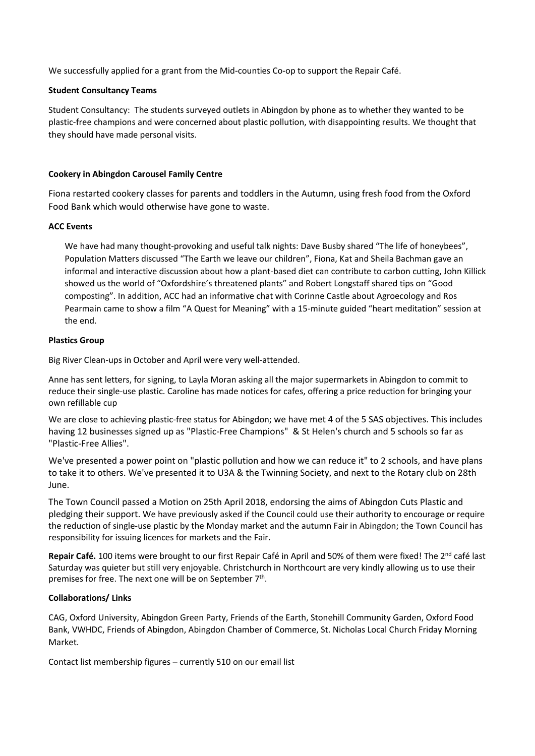We successfully applied for a grant from the Mid-counties Co-op to support the Repair Café.

## **Student Consultancy Teams**

Student Consultancy: The students surveyed outlets in Abingdon by phone as to whether they wanted to be plastic-free champions and were concerned about plastic pollution, with disappointing results. We thought that they should have made personal visits.

## **Cookery in Abingdon Carousel Family Centre**

Fiona restarted cookery classes for parents and toddlers in the Autumn, using fresh food from the Oxford Food Bank which would otherwise have gone to waste.

### **ACC Events**

We have had many thought-provoking and useful talk nights: Dave Busby shared "The life of honeybees", Population Matters discussed "The Earth we leave our children", Fiona, Kat and Sheila Bachman gave an informal and interactive discussion about how a plant-based diet can contribute to carbon cutting, John Killick showed us the world of "Oxfordshire's threatened plants" and Robert Longstaff shared tips on "Good composting". In addition, ACC had an informative chat with Corinne Castle about Agroecology and Ros Pearmain came to show a film "A Quest for Meaning" with a 15-minute guided "heart meditation" session at the end.

### **Plastics Group**

Big River Clean-ups in October and April were very well-attended.

Anne has sent letters, for signing, to Layla Moran asking all the major supermarkets in Abingdon to commit to reduce their single-use plastic. Caroline has made notices for cafes, offering a price reduction for bringing your own refillable cup

We are close to achieving plastic-free status for Abingdon; we have met 4 of the 5 SAS objectives. This includes having 12 businesses signed up as "Plastic-Free Champions" & St Helen's church and 5 schools so far as "Plastic-Free Allies".

We've presented a power point on "plastic pollution and how we can reduce it" to 2 schools, and have plans to take it to others. We've presented it to U3A & the Twinning Society, and next to the Rotary club on 28th June.

The Town Council passed a Motion on 25th April 2018, endorsing the aims of Abingdon Cuts Plastic and pledging their support. We have previously asked if the Council could use their authority to encourage or require the reduction of single-use plastic by the Monday market and the autumn Fair in Abingdon; the Town Council has responsibility for issuing licences for markets and the Fair.

**Repair Café.** 100 items were brought to our first Repair Café in April and 50% of them were fixed! The 2<sup>nd</sup> café last Saturday was quieter but still very enjoyable. Christchurch in Northcourt are very kindly allowing us to use their premises for free. The next one will be on September 7<sup>th</sup>.

## **Collaborations/ Links**

CAG, Oxford University, Abingdon Green Party, Friends of the Earth, Stonehill Community Garden, Oxford Food Bank, VWHDC, Friends of Abingdon, Abingdon Chamber of Commerce, St. Nicholas Local Church Friday Morning Market.

Contact list membership figures – currently 510 on our email list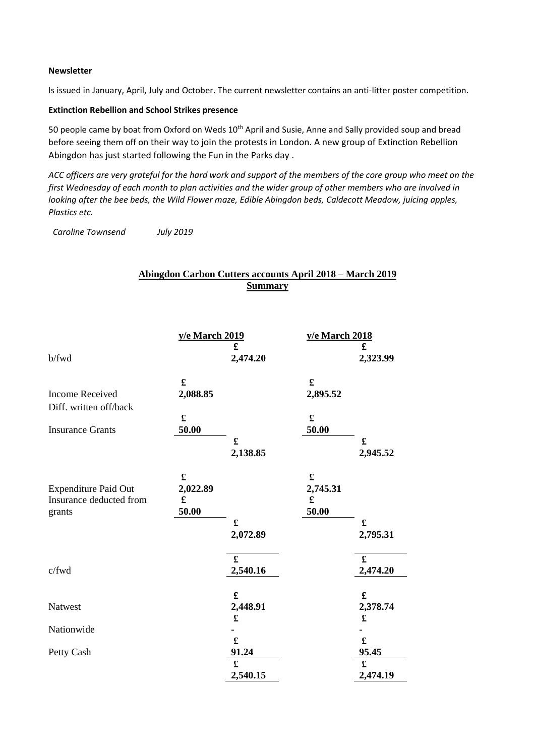### **Newsletter**

Is issued in January, April, July and October. The current newsletter contains an anti-litter poster competition.

## **Extinction Rebellion and School Strikes presence**

50 people came by boat from Oxford on Weds 10<sup>th</sup> April and Susie, Anne and Sally provided soup and bread before seeing them off on their way to join the protests in London. A new group of Extinction Rebellion Abingdon has just started following the Fun in the Parks day .

*ACC officers are very grateful for the hard work and support of the members of the core group who meet on the first Wednesday of each month to plan activities and the wider group of other members who are involved in looking after the bee beds, the Wild Flower maze, Edible Abingdon beds, Caldecott Meadow, juicing apples, Plastics etc.* 

 *Caroline Townsend July 2019*

# **Abingdon Carbon Cutters accounts April 2018 – March 2019 Summary**

|                                                                  | y/e March 2019                                 |                         | y/e March 2018                        |                                  |
|------------------------------------------------------------------|------------------------------------------------|-------------------------|---------------------------------------|----------------------------------|
| b/fwd                                                            |                                                | £<br>2,474.20           |                                       | £<br>2,323.99                    |
| <b>Income Received</b><br>Diff. written off/back                 | £<br>2,088.85                                  |                         | $\mathbf f$<br>2,895.52               |                                  |
| <b>Insurance Grants</b>                                          | $\pmb{\mathfrak{L}}$<br>50.00                  |                         | $\pmb{\mathfrak{L}}$<br>50.00         |                                  |
|                                                                  |                                                | £<br>2,138.85           |                                       | $\pmb{\mathfrak{L}}$<br>2,945.52 |
| <b>Expenditure Paid Out</b><br>Insurance deducted from<br>grants | $\pmb{\mathfrak{L}}$<br>2,022.89<br>£<br>50.00 |                         | $\mathbf f$<br>2,745.31<br>£<br>50.00 |                                  |
|                                                                  |                                                | £<br>2,072.89           |                                       | £<br>2,795.31                    |
| c/fwd                                                            |                                                | £<br>2,540.16           |                                       | £<br>2,474.20                    |
| Natwest                                                          |                                                | $\mathbf f$<br>2,448.91 |                                       | $\pmb{\mathfrak{L}}$<br>2,378.74 |
| Nationwide                                                       |                                                |                         |                                       |                                  |
| Petty Cash                                                       |                                                | £<br>91.24              |                                       | $\pmb{\mathfrak{L}}$<br>95.45    |
|                                                                  |                                                | £<br>2,540.15           |                                       | £<br>2,474.19                    |